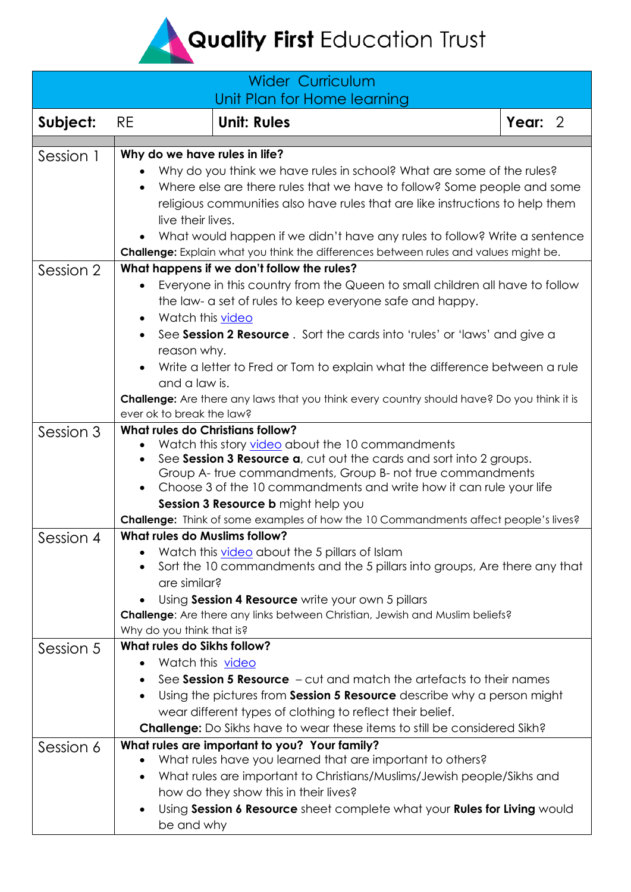Quality First Education Trust

| <b>Wider Curriculum</b><br>Unit Plan for Home learning |                                                                                                                                                                                                                                                                                                                                                                                                                                                                |  |  |  |
|--------------------------------------------------------|----------------------------------------------------------------------------------------------------------------------------------------------------------------------------------------------------------------------------------------------------------------------------------------------------------------------------------------------------------------------------------------------------------------------------------------------------------------|--|--|--|
| Subject:                                               | <b>Unit: Rules</b><br><b>RE</b><br>Year: $2$                                                                                                                                                                                                                                                                                                                                                                                                                   |  |  |  |
|                                                        |                                                                                                                                                                                                                                                                                                                                                                                                                                                                |  |  |  |
| Session 1                                              | Why do we have rules in life?<br>Why do you think we have rules in school? What are some of the rules?<br>Where else are there rules that we have to follow? Some people and some<br>religious communities also have rules that are like instructions to help them<br>live their lives.<br>• What would happen if we didn't have any rules to follow? Write a sentence<br>Challenge: Explain what you think the differences between rules and values might be. |  |  |  |
| Session 2                                              | What happens if we don't follow the rules?                                                                                                                                                                                                                                                                                                                                                                                                                     |  |  |  |
|                                                        | Everyone in this country from the Queen to small children all have to follow<br>$\bullet$<br>the law- a set of rules to keep everyone safe and happy.<br>Watch this video<br>$\bullet$<br>See Session 2 Resource. Sort the cards into 'rules' or 'laws' and give a<br>reason why.                                                                                                                                                                              |  |  |  |
|                                                        | Write a letter to Fred or Tom to explain what the difference between a rule<br>and a law is.<br><b>Challenge:</b> Are there any laws that you think every country should have? Do you think it is                                                                                                                                                                                                                                                              |  |  |  |
|                                                        | ever ok to break the law?                                                                                                                                                                                                                                                                                                                                                                                                                                      |  |  |  |
| Session 3                                              | <b>What rules do Christians follow?</b><br>Watch this story video about the 10 commandments<br>See Session 3 Resource a, cut out the cards and sort into 2 groups.<br>Group A-true commandments, Group B- not true commandments<br>Choose 3 of the 10 commandments and write how it can rule your life<br>Session 3 Resource b might help you<br>Challenge: Think of some examples of how the 10 Commandments affect people's lives?                           |  |  |  |
| Session 4                                              | <b>What rules do Muslims follow?</b>                                                                                                                                                                                                                                                                                                                                                                                                                           |  |  |  |
|                                                        | Watch this video about the 5 pillars of Islam<br>Sort the 10 commandments and the 5 pillars into groups, Are there any that<br>are similar?<br>Using Session 4 Resource write your own 5 pillars<br>Challenge: Are there any links between Christian, Jewish and Muslim beliefs?<br>Why do you think that is?                                                                                                                                                  |  |  |  |
| Session 5                                              | What rules do Sikhs follow?                                                                                                                                                                                                                                                                                                                                                                                                                                    |  |  |  |
| Session 6                                              | Watch this video<br>$\bullet$<br>See Session 5 Resource $-\text{cut}$ and match the artefacts to their names<br>Using the pictures from Session 5 Resource describe why a person might<br>$\bullet$<br>wear different types of clothing to reflect their belief.<br>Challenge: Do Sikhs have to wear these items to still be considered Sikh?<br>What rules are important to you? Your family?                                                                 |  |  |  |
|                                                        | What rules have you learned that are important to others?                                                                                                                                                                                                                                                                                                                                                                                                      |  |  |  |
|                                                        | What rules are important to Christians/Muslims/Jewish people/Sikhs and<br>٠<br>how do they show this in their lives?<br>Using Session 6 Resource sheet complete what your Rules for Living would<br>$\bullet$                                                                                                                                                                                                                                                  |  |  |  |
|                                                        | be and why                                                                                                                                                                                                                                                                                                                                                                                                                                                     |  |  |  |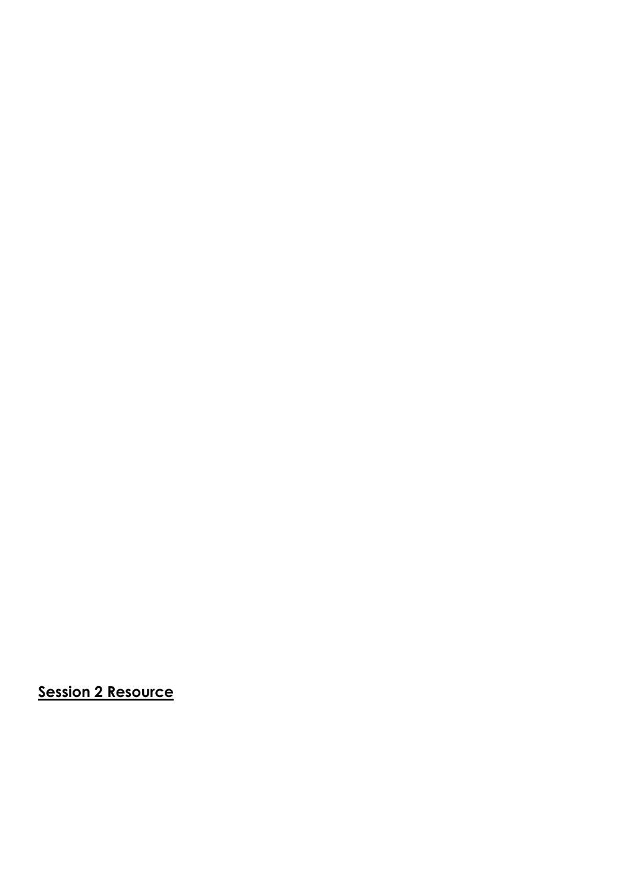**Session 2 Resource**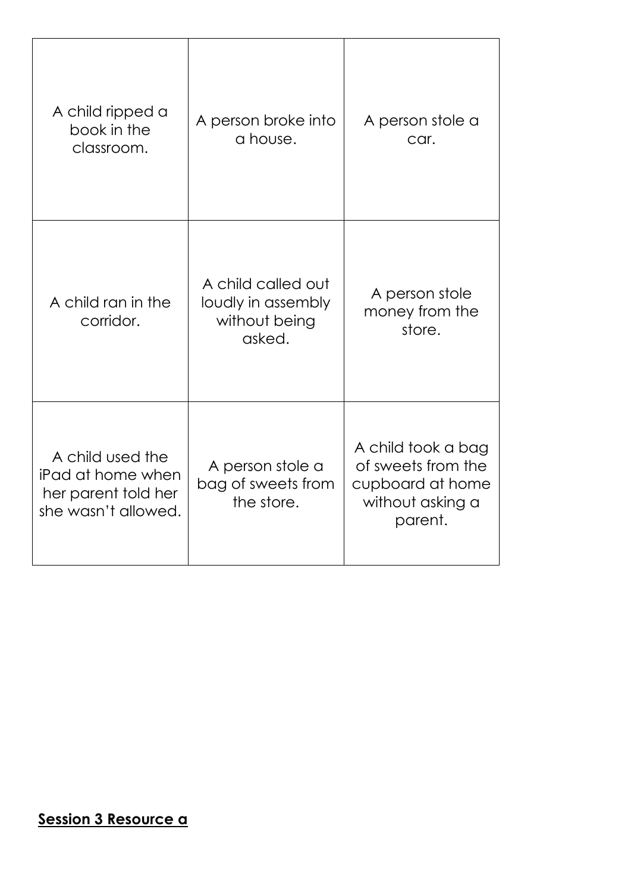| A child ripped a<br>book in the<br>classroom.                                       | A person broke into<br>a house.                                     | A person stole a<br>car.                                                                    |
|-------------------------------------------------------------------------------------|---------------------------------------------------------------------|---------------------------------------------------------------------------------------------|
| A child ran in the<br>corridor.                                                     | A child called out<br>loudly in assembly<br>without being<br>asked. | A person stole<br>money from the<br>store.                                                  |
| A child used the<br>iPad at home when<br>her parent told her<br>she wasn't allowed. | A person stole a<br>bag of sweets from<br>the store.                | A child took a bag<br>of sweets from the<br>cupboard at home<br>without asking a<br>parent. |

## **Session 3 Resource a**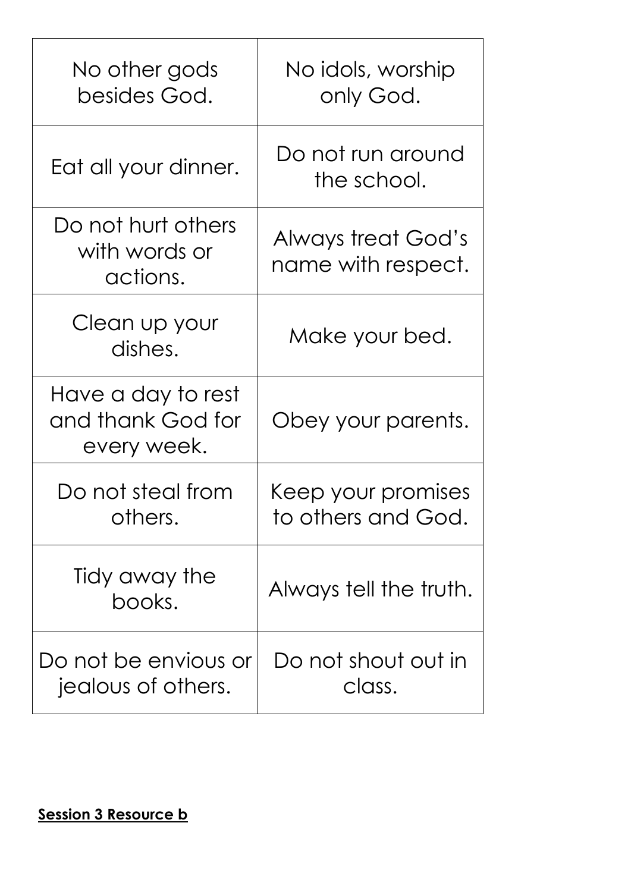| No other gods<br>besides God.                          | No idols, worship<br>only God.           |
|--------------------------------------------------------|------------------------------------------|
| Eat all your dinner.                                   | Do not run around<br>the school.         |
| Do not hurt others<br>with words or<br>actions.        | Always treat God's<br>name with respect. |
| Clean up your<br>dishes.                               | Make your bed.                           |
| Have a day to rest<br>and thank God for<br>every week. | Obey your parents.                       |
| Do not steal from<br>others.                           | Keep your promises<br>to others and God. |
| Tidy away the<br>books.                                | Always tell the truth.                   |
| Do not be envious or<br>jealous of others.             | Do not shout out in<br>class.            |

## **Session 3 Resource b**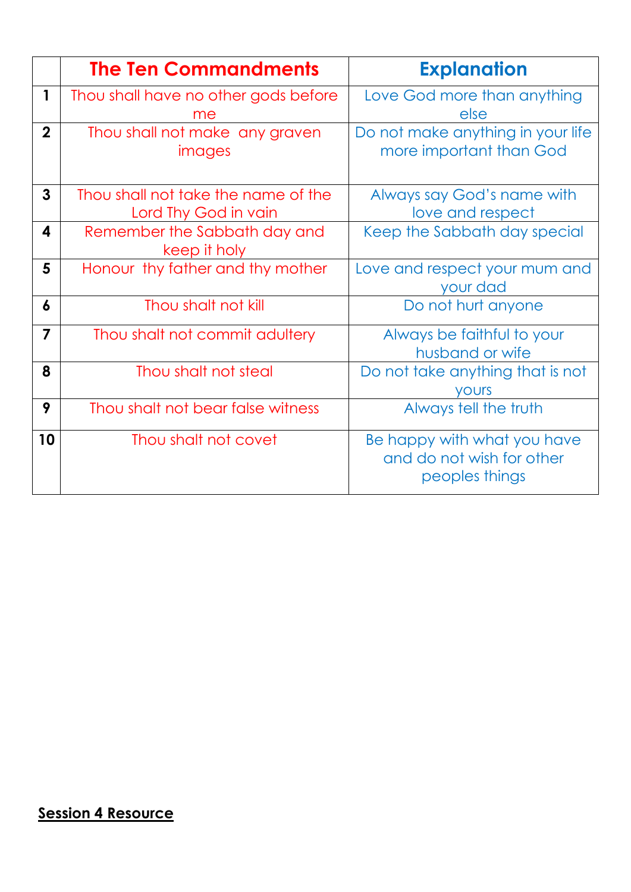|                 | <b>The Ten Commandments</b>          | <b>Explanation</b>                |
|-----------------|--------------------------------------|-----------------------------------|
| 1               | Thou shall have no other gods before | Love God more than anything       |
|                 | me                                   | else                              |
| $\mathbf{2}$    | Thou shall not make any graven       | Do not make anything in your life |
|                 | images                               | more important than God           |
|                 |                                      |                                   |
| 3               | Thou shall not take the name of the  | Always say God's name with        |
|                 | Lord Thy God in vain                 | love and respect                  |
| 4               | Remember the Sabbath day and         | Keep the Sabbath day special      |
|                 | keep it holy                         |                                   |
| 5               | Honour thy father and thy mother     | Love and respect your mum and     |
|                 |                                      | your dad                          |
| 6               | Thou shalt not kill                  | Do not hurt anyone                |
| 7               | Thou shalt not commit adultery       | Always be faithful to your        |
|                 |                                      | husband or wife                   |
| 8               | Thou shalt not steal                 | Do not take anything that is not  |
|                 |                                      | <b>YOUrs</b>                      |
| 9               | Thou shalt not bear false witness    | Always tell the truth             |
|                 |                                      |                                   |
| 10 <sup>°</sup> | Thou shalt not covet                 | Be happy with what you have       |
|                 |                                      | and do not wish for other         |
|                 |                                      | peoples things                    |
|                 |                                      |                                   |

## **Session 4 Resource**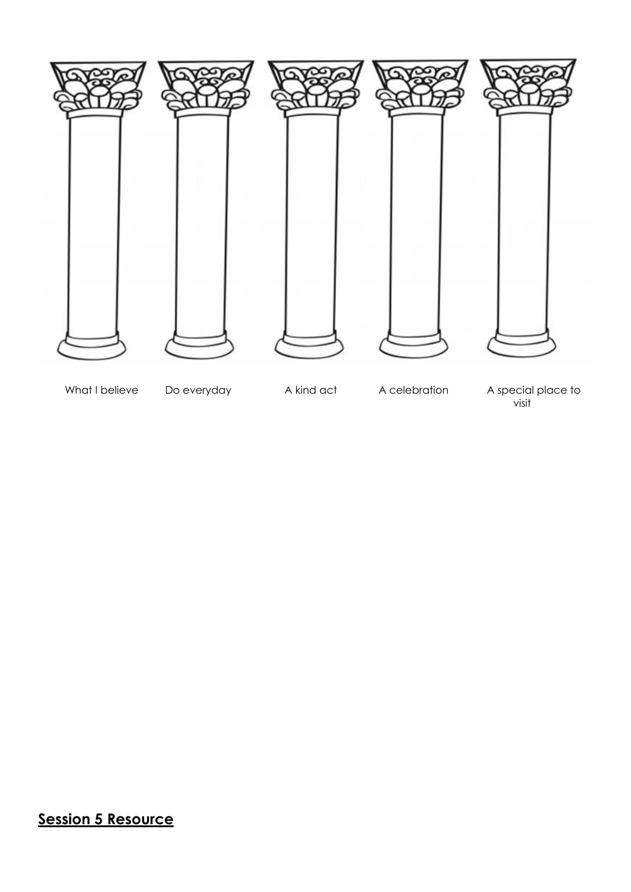

## **Session 5 Resource**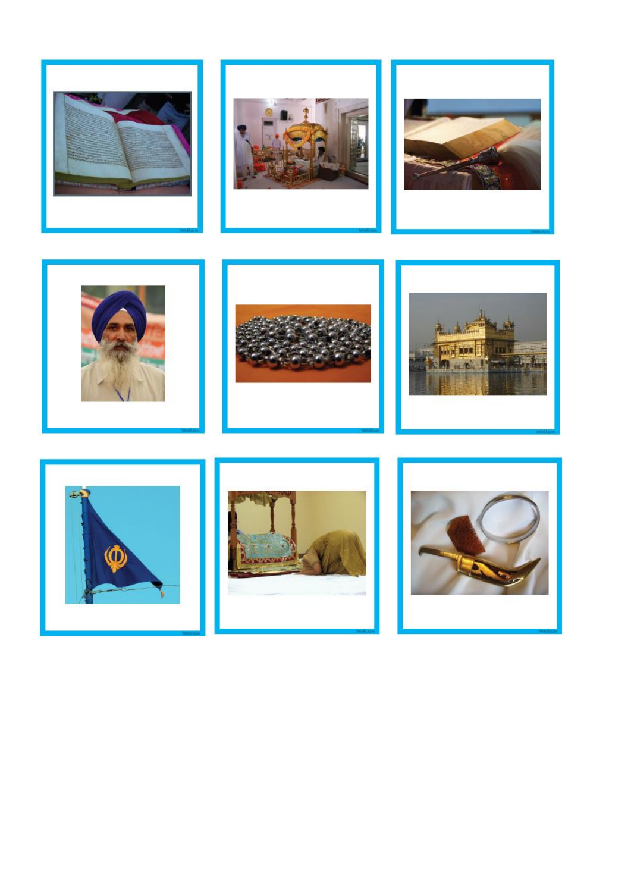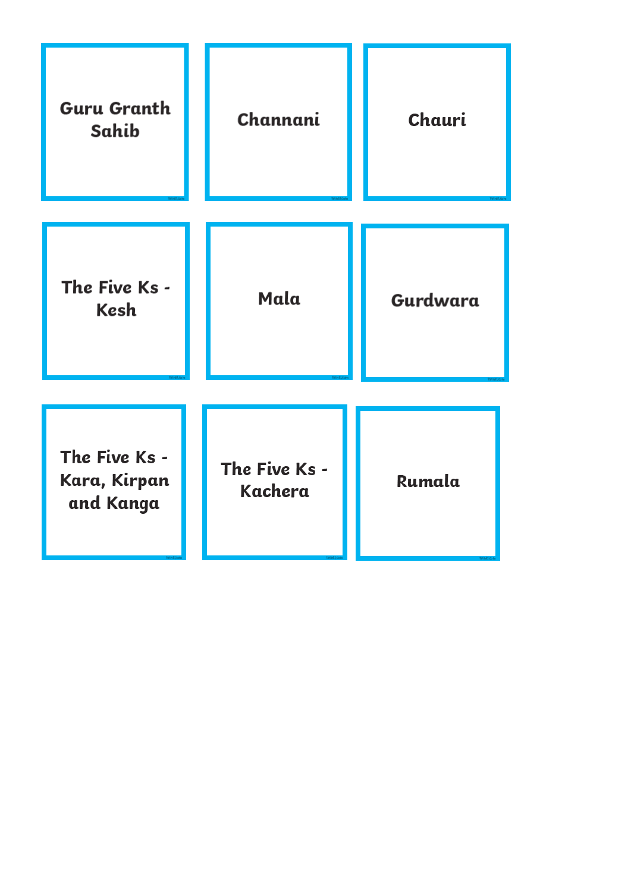